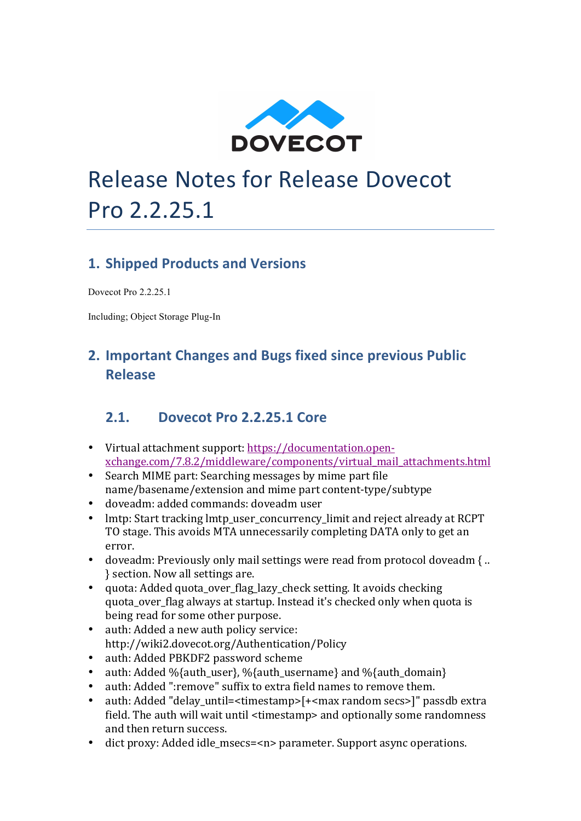

# Release Notes for Release Dovecot Pro 2.2.25.1

### **1. Shipped Products and Versions**

Dovecot Pro 2.2.25.1

Including; Object Storage Plug-In

## **2. Important Changes and Bugs fixed since previous Public Release**

#### **2.1. Dovecot Pro 2.2.25.1** Core

- Virtual attachment support: https://documentation.openxchange.com/7.8.2/middleware/components/virtual\_mail\_attachments.html
- Search MIME part: Searching messages by mime part file name/basename/extension and mime part content-type/subtype
- doveadm: added commands: doveadm user
- lmtp: Start tracking lmtp\_user\_concurrency\_limit and reject already at RCPT TO stage. This avoids MTA unnecessarily completing DATA only to get an error.
- doveadm: Previously only mail settings were read from protocol doveadm { ... } section. Now all settings are.
- quota: Added quota over flag lazy check setting. It avoids checking quota\_over\_flag always at startup. Instead it's checked only when quota is being read for some other purpose.
- auth: Added a new auth policy service: http://wiki2.dovecot.org/Authentication/Policy
- auth: Added PBKDF2 password scheme
- auth: Added %{auth\_user}, %{auth\_username} and %{auth\_domain}
- auth: Added ":remove" suffix to extra field names to remove them.
- auth: Added "delay\_until=<timestamp>[+<max random secs>]" passdb extra field. The auth will wait until <timestamp> and optionally some randomness and then return success.
- dict proxy: Added idle msecs=<n> parameter. Support async operations.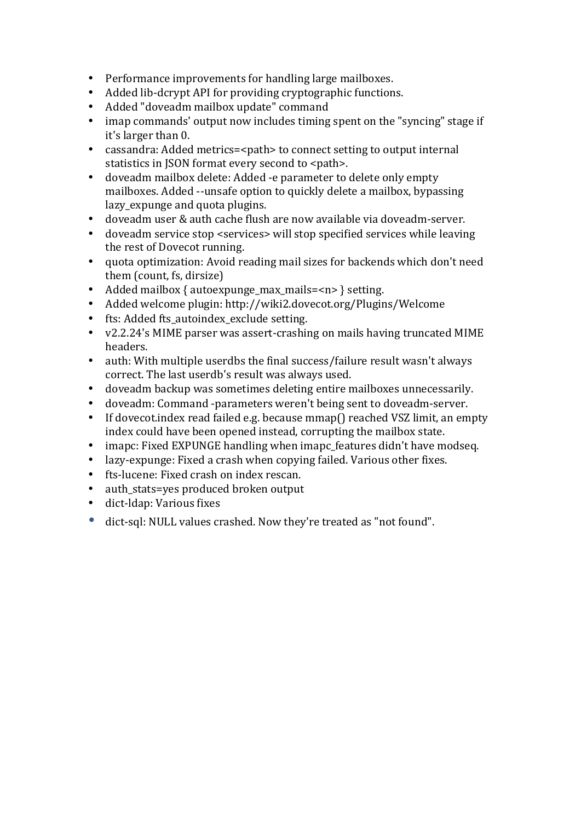- Performance improvements for handling large mailboxes.
- Added lib-dcrypt API for providing cryptographic functions.
- Added "doveadm mailbox update" command
- imap commands' output now includes timing spent on the "syncing" stage if it's larger than 0.
- cassandra: Added metrics=<path> to connect setting to output internal statistics in JSON format every second to <path>.
- doveadm mailbox delete: Added -e parameter to delete only empty mailboxes. Added --unsafe option to quickly delete a mailbox, bypassing lazy\_expunge and quota plugins.
- doveadm user & auth cache flush are now available via doveadm-server.<br>• doveadm service ston <services> will ston specified services while leavin
- doveadm service stop <services> will stop specified services while leaving the rest of Dovecot running.
- quota optimization: Avoid reading mail sizes for backends which don't need them (count, fs, dirsize)
- Added mailbox { autoexpunge\_max\_mails=<n> } setting.
- Added welcome plugin: http://wiki2.dovecot.org/Plugins/Welcome
- fts: Added fts autoindex exclude setting.
- v2.2.24's MIME parser was assert-crashing on mails having truncated MIME headers.
- auth: With multiple userdbs the final success/failure result wasn't always correct. The last userdb's result was always used.
- doveadm backup was sometimes deleting entire mailboxes unnecessarily.
- doveadm: Command -parameters weren't being sent to doveadm-server.
- If dovecot.index read failed e.g. because mmap() reached VSZ limit, an empty index could have been opened instead, corrupting the mailbox state.
- imapc: Fixed EXPUNGE handling when imapc features didn't have modseq.
- lazy-expunge: Fixed a crash when copying failed. Various other fixes.
- fts-lucene: Fixed crash on index rescan.
- auth stats=yes produced broken output
- dict-Idap: Various fixes
- dict-sql: NULL values crashed. Now they're treated as "not found".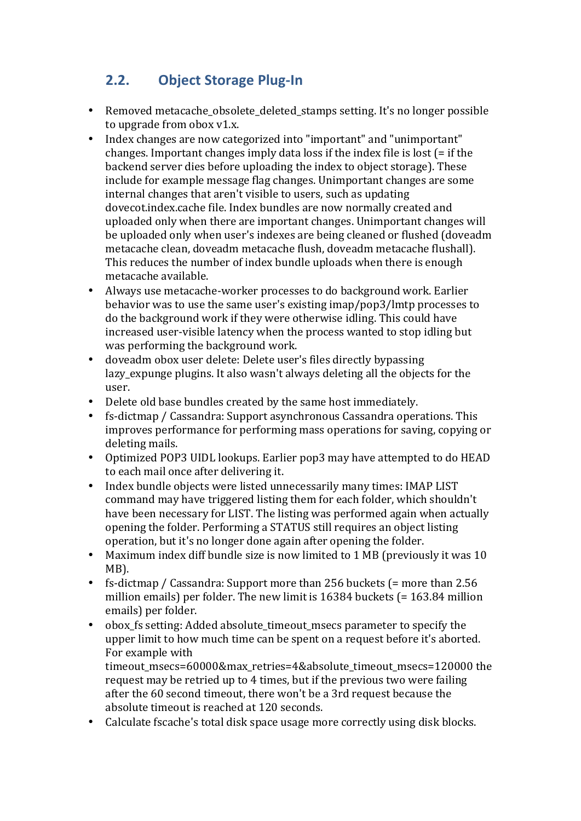## **2.2. Object Storage Plug-In**

- Removed metacache\_obsolete\_deleted\_stamps setting. It's no longer possible to upgrade from obox  $v1.x$ .
- Index changes are now categorized into "important" and "unimportant" changes. Important changes imply data loss if the index file is lost  $(=$  if the backend server dies before uploading the index to object storage). These include for example message flag changes. Unimportant changes are some internal changes that aren't visible to users, such as updating dovecot.index.cache file. Index bundles are now normally created and uploaded only when there are important changes. Unimportant changes will be uploaded only when user's indexes are being cleaned or flushed (doveadm metacache clean, doveadm metacache flush, doveadm metacache flushall). This reduces the number of index bundle uploads when there is enough metacache available.
- Always use metacache-worker processes to do background work. Earlier behavior was to use the same user's existing  $\frac{1}{100}$  map/pop3/lmtp processes to do the background work if they were otherwise idling. This could have increased user-visible latency when the process wanted to stop idling but was performing the background work.
- doveadm obox user delete: Delete user's files directly bypassing lazy\_expunge plugins. It also wasn't always deleting all the objects for the user.
- Delete old base bundles created by the same host immediately.
- fs-dictmap / Cassandra: Support asynchronous Cassandra operations. This improves performance for performing mass operations for saving, copying or deleting mails.
- Optimized POP3 UIDL lookups. Earlier pop3 may have attempted to do HEAD to each mail once after delivering it.
- Index bundle objects were listed unnecessarily many times: IMAP LIST command may have triggered listing them for each folder, which shouldn't have been necessary for LIST. The listing was performed again when actually opening the folder. Performing a STATUS still requires an object listing operation, but it's no longer done again after opening the folder.
- Maximum index diff bundle size is now limited to 1 MB (previously it was 10 MB).
- fs-dictmap / Cassandra: Support more than  $256$  buckets  $(=$  more than  $2.56$ million emails) per folder. The new limit is  $16384$  buckets  $(= 163.84$  million emails) per folder.
- obox fs setting: Added absolute timeout msecs parameter to specify the upper limit to how much time can be spent on a request before it's aborted. For example with

timeout msecs=60000&max retries=4&absolute timeout msecs=120000 the request may be retried up to 4 times, but if the previous two were failing after the 60 second timeout, there won't be a 3rd request because the absolute timeout is reached at 120 seconds.

• Calculate fscache's total disk space usage more correctly using disk blocks.